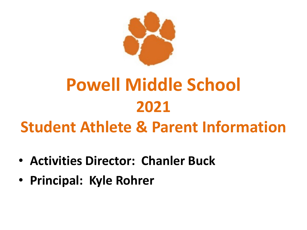

# **Powell Middle School 2021**

## **Student Athlete & Parent Information**

- **Activities Director: Chanler Buck**
- **Principal: Kyle Rohrer**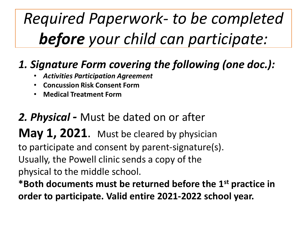# *Required Paperwork- to be completed before your child can participate:*

## *1. Signature Form covering the following (one doc.):*

- *Activities Participation Agreement*
- **Concussion Risk Consent Form**
- **Medical Treatment Form**

### *2. Physical -* Must be dated on or after

## **May 1, 2021.** Must be cleared by physician

to participate and consent by parent-signature(s).

Usually, the Powell clinic sends a copy of the

physical to the middle school.

**\*Both documents must be returned before the 1st practice in order to participate. Valid entire 2021-2022 school year.**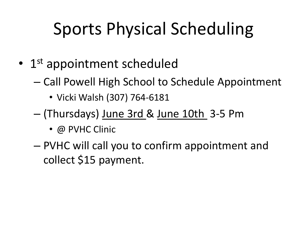# Sports Physical Scheduling

- 1<sup>st</sup> appointment scheduled
	- Call Powell High School to Schedule Appointment
		- Vicki Walsh (307) 764-6181
	- (Thursdays) June 3rd & June 10th 3-5 Pm
		- @ PVHC Clinic
	- PVHC will call you to confirm appointment and collect \$15 payment.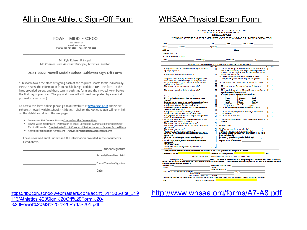### All in One Athletic Sign-Off Form WHSAA Physical Exam Form

#### POWELL MIDDLE SCHOOL

369 Fast 3<sup>rd</sup> St Powell, WY 82435 Phone: 307-764-6185 Fax: 307-764-6155

Mr. Kyle Rohrer, Principal Mr. Chanler Buck, Assistant Principal/Activities Director

#### 2021-2022 Powell Middle School Athletics Sign-Off Form

\*This form takes the place of signing each of the required sports forms individually. Please review the information from each link, sign and date JUST this form on the lines provided below, and then, turn in both this form and the Physical Form before the first day of practice. (The physical form will still need completed by a medical professional as usual.)

To access this form online, please go to our website at www.pcsd1.org and select Schools > Powell Middle School > Athletics. Click on the Athletics Sign-Off Form link on the right-hand side of the webpage.

- . Concussion Risk Consent Form Concussion Risk Consent Form
- . Powell Valley Healthcare Permission to Treat, Consent of Authorization for Release of Medical Records - Permission to Treat, Consent of Authorization to Release Record Form
- Activities Participation Agreement Activities Participation Agreement Form

I have reviewed and I understand the information provided in the documents listed above.

Student Signature

Parent/Guardian (Print)

Parent/Guardian Signature

Date

#### WYOMING HIGH SCHOOL ACTIVITIES ASSOCIATION SCHOOL PHYSICAL EXAMINATION **MEDICAL RECORD**

PHYSICIANS STATEMENT MUST BE DATED AFTER MAY 1 TO BE VALID FOR THE UPCOMING SCHOOL YEAR

| Name <b>Name</b>                                                                                                                                                                                                                                                                                                                            |                                                                                                                                                                                                                                               |        |        | Sex Age Date of Birth                                                                                                                                                                                                                     |      |   |  |
|---------------------------------------------------------------------------------------------------------------------------------------------------------------------------------------------------------------------------------------------------------------------------------------------------------------------------------------------|-----------------------------------------------------------------------------------------------------------------------------------------------------------------------------------------------------------------------------------------------|--------|--------|-------------------------------------------------------------------------------------------------------------------------------------------------------------------------------------------------------------------------------------------|------|---|--|
|                                                                                                                                                                                                                                                                                                                                             | Grade School Sport(s)                                                                                                                                                                                                                         |        |        |                                                                                                                                                                                                                                           |      |   |  |
| Address                                                                                                                                                                                                                                                                                                                                     |                                                                                                                                                                                                                                               |        |        | and the contract of the contract of the contract of <b>Phone</b> and the contract of the contract of the contract of                                                                                                                      |      |   |  |
| Personal Physician                                                                                                                                                                                                                                                                                                                          |                                                                                                                                                                                                                                               |        |        |                                                                                                                                                                                                                                           |      |   |  |
| In case of emergency, contact                                                                                                                                                                                                                                                                                                               |                                                                                                                                                                                                                                               |        |        |                                                                                                                                                                                                                                           |      |   |  |
| $Name_$                                                                                                                                                                                                                                                                                                                                     |                                                                                                                                                                                                                                               |        |        | Relationship Phone (H) Phone (H) (W)                                                                                                                                                                                                      |      |   |  |
|                                                                                                                                                                                                                                                                                                                                             |                                                                                                                                                                                                                                               |        |        | Explain "Yes" answers below. Circle questions you don't know the answers to.                                                                                                                                                              |      |   |  |
| Yes No<br>Yes No                                                                                                                                                                                                                                                                                                                            |                                                                                                                                                                                                                                               |        |        |                                                                                                                                                                                                                                           |      |   |  |
| up or sports physical?                                                                                                                                                                                                                                                                                                                      | 1. Have you had a medical illness or injury since your last check []                                                                                                                                                                          |        | -01    | 10. Do you use any special protective or corrective equipment or<br>devices that aren't usually used for your sport or position (for<br>example, knee brace, special neck roll, foot orthotics, retainer                                  | п    | n |  |
|                                                                                                                                                                                                                                                                                                                                             | 2. Have you ever been hospitalized overnight?                                                                                                                                                                                                 | H.     | п      | on your teeth, hearing aid)?<br>11. Have you had any problems with your eyes or vision?                                                                                                                                                   |      |   |  |
|                                                                                                                                                                                                                                                                                                                                             | 3. Are you currently taking any prescription of nonprescription<br>(over-the-counter) medications or pills or using an inhaler?                                                                                                               | п      | п      | Do you wear glasses, contacts, or protective eyewear?                                                                                                                                                                                     | ří   | п |  |
| food, or stinging insects)?                                                                                                                                                                                                                                                                                                                 | 4. Do you have any allergies (for example, to pollen, medicine,                                                                                                                                                                               |        |        | 12. Have you ever had a sprain, strain, or swelling after injury?                                                                                                                                                                         |      | п |  |
|                                                                                                                                                                                                                                                                                                                                             | 5. Have you ever passed out during or after exercise?                                                                                                                                                                                         | H      | H      | Have you broken or fractured any bones or dislocated any<br>joints?                                                                                                                                                                       | п    | п |  |
|                                                                                                                                                                                                                                                                                                                                             | Have you ever been dizzy during or after exercise?                                                                                                                                                                                            | П      | п      | Have you had any other problems with pain or swelling in []<br>muscles, tendons, bones, or joints?                                                                                                                                        |      | п |  |
| exercise?                                                                                                                                                                                                                                                                                                                                   | Have you ever had chest pain during or after exercise?<br>Do you get tired more quickly than your friends do during<br>Have you ever had racing of your heart or skipped heartbeats?<br>Have you had high blood pressure or high cholesterol? | П      | п<br>H | If yes, check appropriate box and explain below<br>[] Head [] Elbow [] Hip<br>[] Neck [] Forearm [] Thigh [] Back [] Wrist [] Knee<br>[] Neck<br>[] Back<br>[] Chest<br>[ ] Hand<br>[] Shin/calf<br>[ ] Shoulder<br>[] Finger<br>[1 Ankle |      |   |  |
|                                                                                                                                                                                                                                                                                                                                             | Have you ever been told you have a heart murmur?<br>Has any family member or relative died of heart problems or<br>of sudden death before age 50?                                                                                             | ü<br>п | n      | [ ] Upper Arm<br>[ ] Foot<br>13. Do you want to weigh more or less than you do now?                                                                                                                                                       | m    | n |  |
|                                                                                                                                                                                                                                                                                                                                             | Have you had a severe viral infection (for example,                                                                                                                                                                                           |        |        | Do you lose weight regularly to meet weight requirements                                                                                                                                                                                  | п    | n |  |
|                                                                                                                                                                                                                                                                                                                                             | myocarditis or monomicleosis) within the last month?<br>Has a physician ever denied or restricted your participation in                                                                                                                       | п      | 8      | for your sport?<br>14. Do you feel stressed out?                                                                                                                                                                                          | П    | п |  |
| sports for any heart problems?<br>6. Do you have any current skin problems (for example, itching,                                                                                                                                                                                                                                           |                                                                                                                                                                                                                                               | O      | Π      | 15. Do you, or someone in your family, have sickle cell trait or                                                                                                                                                                          | -01  | п |  |
|                                                                                                                                                                                                                                                                                                                                             | rashes, acne, warts, fungus, or blisters)?<br>7. Have you ever had a head injury or concussion?<br>Have you ever been knocked out, become unconscious, or lost                                                                                | Ħ      | H      | disease?<br><b>FEMALES ONLY</b>                                                                                                                                                                                                           |      |   |  |
| vour memory?                                                                                                                                                                                                                                                                                                                                |                                                                                                                                                                                                                                               |        |        |                                                                                                                                                                                                                                           |      |   |  |
|                                                                                                                                                                                                                                                                                                                                             | Have you ever had a seizure?                                                                                                                                                                                                                  |        |        | 16. When was your first menstrual period?                                                                                                                                                                                                 |      |   |  |
|                                                                                                                                                                                                                                                                                                                                             | Do you have frequent or severe headaches?<br>Have you ever had numbness or tingling in your arms, hands,                                                                                                                                      | Ŭ      |        | When was your most recent menstrual period?<br>How much time do you usually have from the start of one period                                                                                                                             |      |   |  |
| legs, or feet?                                                                                                                                                                                                                                                                                                                              |                                                                                                                                                                                                                                               | П      |        | to the start of another?                                                                                                                                                                                                                  |      |   |  |
|                                                                                                                                                                                                                                                                                                                                             | Have you ever had a stinger, burner, or pinched nerve?<br>8. Have you ever become ill from exercising in the heat?                                                                                                                            | Ĥ      |        | How many periods have you had in the last year?<br>What was the longest time between periods in the last year?                                                                                                                            |      |   |  |
|                                                                                                                                                                                                                                                                                                                                             | 9. Do you cough, wheeze, or have trouble breathing during or                                                                                                                                                                                  |        | Π      |                                                                                                                                                                                                                                           |      |   |  |
| after activity?                                                                                                                                                                                                                                                                                                                             |                                                                                                                                                                                                                                               |        |        |                                                                                                                                                                                                                                           |      |   |  |
| Do you have asthma?                                                                                                                                                                                                                                                                                                                         | Do you have seasonal allergies that require medical                                                                                                                                                                                           |        |        |                                                                                                                                                                                                                                           |      |   |  |
| treatment?                                                                                                                                                                                                                                                                                                                                  |                                                                                                                                                                                                                                               |        |        |                                                                                                                                                                                                                                           |      |   |  |
|                                                                                                                                                                                                                                                                                                                                             |                                                                                                                                                                                                                                               |        |        | I hereby state that, to the best of my knowledge, my answers to the above questions are complete and correct.                                                                                                                             |      |   |  |
|                                                                                                                                                                                                                                                                                                                                             | Signature of athlete                                                                                                                                                                                                                          |        |        | Signature of parent/guardian                                                                                                                                                                                                              | Date |   |  |
| PARENT/GUARDIAN CONSENT FOR EMERGENCY MEDICAL ASSISTANCE                                                                                                                                                                                                                                                                                    |                                                                                                                                                                                                                                               |        |        |                                                                                                                                                                                                                                           |      |   |  |
| I hereby authorize<br>School District and its faculty members in charge of my child named below to obtain all necessary<br>medical care for my child in the event that I cannot be reached to authorize it myself. I hereby authorize any licensed physician and/or medical personnel to render<br>necessary medical treatment to my child. |                                                                                                                                                                                                                                               |        |        |                                                                                                                                                                                                                                           |      |   |  |
| Student's Name<br>Work Phone Number; Father National Assembly North Street Assembly                                                                                                                                                                                                                                                         |                                                                                                                                                                                                                                               |        |        |                                                                                                                                                                                                                                           |      |   |  |
| <b>Mother</b><br>Address                                                                                                                                                                                                                                                                                                                    |                                                                                                                                                                                                                                               |        |        |                                                                                                                                                                                                                                           |      |   |  |
| Home Phone Number<br><b>INSURANCE INFORMATION: Company</b><br>Policy#                                                                                                                                                                                                                                                                       |                                                                                                                                                                                                                                               |        |        |                                                                                                                                                                                                                                           |      |   |  |
|                                                                                                                                                                                                                                                                                                                                             | <b>Insured Person</b>                                                                                                                                                                                                                         |        |        |                                                                                                                                                                                                                                           |      |   |  |
| Policy Holder's Social Security Number                                                                                                                                                                                                                                                                                                      |                                                                                                                                                                                                                                               |        |        |                                                                                                                                                                                                                                           |      |   |  |
| Signature acknowledges that we have read and understand the above warning and we give consent for emergency assistance that might be needed.                                                                                                                                                                                                |                                                                                                                                                                                                                                               |        |        |                                                                                                                                                                                                                                           |      |   |  |

Date Signature of Parent/Guardian

113/Athletics%20Sign%20Off%20Form%20- %20Powel%20MS%20-%20Park%201.pdf

#### [https://tb2cdn.schoolwebmasters.com/accnt\\_311585/site\\_319](https://tb2cdn.schoolwebmasters.com/accnt_311585/site_319113/Athletics%20Sign%20Off%20Form%20-%20Powel%20MS%20-%20Park%201.pdf) <http://www.whsaa.org/forms/A7-A8.pdf>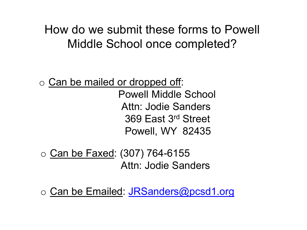## How do we submit these forms to Powell Middle School once completed?

- o Can be mailed or dropped off: Powell Middle School Attn: Jodie Sanders 369 East 3rd Street Powell, WY 82435
- o Can be Faxed: (307) 764-6155 Attn: Jodie Sanders
- $\circ$  Can be Emailed: [JRSanders@pcsd1.org](mailto:JRSanders@pcsd1.org)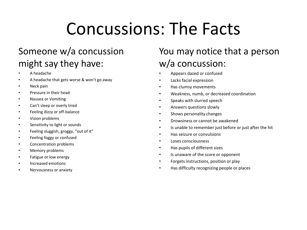# Concussions: The Facts

### Someone w/a concussion might say they have:

- A headache
- A headache that gets worse & won't go away
- Neck pain
- Pressure in their head
- Nausea or Vomiting
- Can't sleep or overly tired
- Feeling dizzy or off-balance
- Vision problems
- Sensitivity to light or sounds
- Feeling sluggish, groggy, "out of it"
- Feeling foggy or confused
- Concentration problems
- Memory problems
- Fatigue or low energy
- Increased emotions
- Nervousness or anxiety

### You may notice that a person w/a concussion:

- Appears dazed or confused
- Lacks facial expression
- Has clumsy movements
- Weakness, numb, or decreased coordination
- Speaks with slurred speech
- Answers questions slowly
- Shows personality changes
- Drowsiness or cannot be awakened
- Is unable to remember just before or just after the hit
- Has seizure or convulsions
- Loses consciousness
- Has pupils of different sizes
- Is unaware of the score or opponent
- Forgets instructions, position or play
- Has difficulty recognizing people or places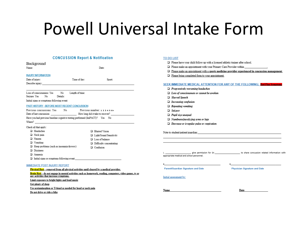## Powell Universal Intake Form

Date

#### **CONCUSSION Report & Notification**

|                                                                                                                                                                                                                                | <b>CONCUSSION Report &amp; Notification</b>                                                              | <b>TO DO LIST</b>                                                                                       |  |  |  |
|--------------------------------------------------------------------------------------------------------------------------------------------------------------------------------------------------------------------------------|----------------------------------------------------------------------------------------------------------|---------------------------------------------------------------------------------------------------------|--|--|--|
| Background                                                                                                                                                                                                                     |                                                                                                          | $\Box$ Please have vour child follow up with a licensed athletic trainer after school.                  |  |  |  |
| Name:                                                                                                                                                                                                                          | Date:                                                                                                    | $\Box$ Please make an appointment with your Primary Care Provider within                                |  |  |  |
|                                                                                                                                                                                                                                |                                                                                                          | $\Box$ Please make an appointment with a sports medicine provider experienced in concussion management. |  |  |  |
| <b>INJURY INFORMATION</b>                                                                                                                                                                                                      |                                                                                                          | $\Box$ Please bring completed form to your appointment.                                                 |  |  |  |
| Date of injury:<br>Time of day:                                                                                                                                                                                                | Sport:                                                                                                   |                                                                                                         |  |  |  |
| Describe injury:                                                                                                                                                                                                               |                                                                                                          | SEEK IMMEDIATE MEDICAL ATTENTION FOR ANY OF THE FOLLOWING: Red Flag Symptoms                            |  |  |  |
|                                                                                                                                                                                                                                |                                                                                                          | $\Box$ Progressively worsening headaches                                                                |  |  |  |
| Length of time:<br>No<br>Loss of consciousness: Yes                                                                                                                                                                            |                                                                                                          | $\Box$ Loss of consciousness or cannot be awoken                                                        |  |  |  |
| Seizure: Yes<br>Details:<br>No                                                                                                                                                                                                 |                                                                                                          | $\Box$ Slurred Speech                                                                                   |  |  |  |
| Initial signs or symptoms following event:                                                                                                                                                                                     |                                                                                                          | $\Box$ Increasing confusion                                                                             |  |  |  |
| PAST HISTORY - BEFORE MOST RECENT CONCUSSION                                                                                                                                                                                   |                                                                                                          | $\Box$ Repeating vomiting                                                                               |  |  |  |
| Previous concussions: Yes<br>No                                                                                                                                                                                                | Previous number: $1, 2, 3, 4, 5, 6+$                                                                     | $\Box$ Seizure                                                                                          |  |  |  |
| Date of last concussion: Flow long did it take to recover?                                                                                                                                                                     |                                                                                                          | $\Box$ Pupil size unequal                                                                               |  |  |  |
| Have you had previous baseline cognitive testing performed (ImPACT)? Yes No                                                                                                                                                    |                                                                                                          | $\Box$ Numbness/paralyzing arms or legs                                                                 |  |  |  |
| Where? A contract the contract of the contract of the contract of the contract of the contract of the contract of the contract of the contract of the contract of the contract of the contract of the contract of the contract |                                                                                                          | $\Box$ Decrease or irregular pulse or respiration                                                       |  |  |  |
| Check all that apply:                                                                                                                                                                                                          |                                                                                                          |                                                                                                         |  |  |  |
| □ Headaches                                                                                                                                                                                                                    | □ Blurred Vision                                                                                         | Note to student/patient/guardian:                                                                       |  |  |  |
| Neck pain                                                                                                                                                                                                                      | □ Light/Sound Sensitivity                                                                                |                                                                                                         |  |  |  |
| □ Nausea                                                                                                                                                                                                                       | $\Box$ Loss of balance                                                                                   |                                                                                                         |  |  |  |
| $\Box$ Vomiting                                                                                                                                                                                                                | $\Box$ Difficulty concentrating                                                                          |                                                                                                         |  |  |  |
| $\Box$ Sleep problems (such as insomnia/drowsy)                                                                                                                                                                                | <sup>1</sup> Confusion                                                                                   |                                                                                                         |  |  |  |
| Dizziness<br>□ Amnesia                                                                                                                                                                                                         |                                                                                                          | give permission for Dr. 1999 and to share concussion related information with (                         |  |  |  |
| $\Box$ Initial signs or symptoms following event:                                                                                                                                                                              |                                                                                                          | appropriate medical and school personnel.                                                               |  |  |  |
|                                                                                                                                                                                                                                |                                                                                                          |                                                                                                         |  |  |  |
| <b>IMMEDIATE POST INJURY REPORT</b>                                                                                                                                                                                            |                                                                                                          |                                                                                                         |  |  |  |
| Physical Rest - removed from all physical activities until cleared by a medical provider.                                                                                                                                      |                                                                                                          | <b>Parent/Guardian Signature and Date</b><br><b>Physician Signature and Date</b>                        |  |  |  |
| any activities that increase symptoms.                                                                                                                                                                                         | Brain Rest - do not engage in mental activities such as homework, reading, computers, video games, ty or |                                                                                                         |  |  |  |
| Limit exposure to bright lights and loud music                                                                                                                                                                                 |                                                                                                          | Initial assessment by:                                                                                  |  |  |  |
|                                                                                                                                                                                                                                |                                                                                                          |                                                                                                         |  |  |  |

**Name** 

Get plenty of sleep

Use acetaminophen or Tylenol as needed for head or neck pain

Do not drive or ride a bike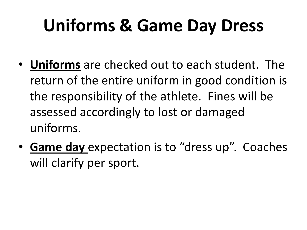# **Uniforms & Game Day Dress**

- **Uniforms** are checked out to each student. The return of the entire uniform in good condition is the responsibility of the athlete. Fines will be assessed accordingly to lost or damaged uniforms.
- **Game day** expectation is to "dress up". Coaches will clarify per sport.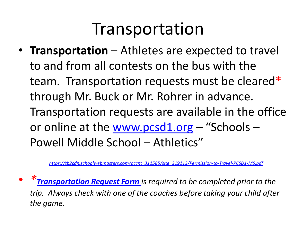## Transportation

• **Transportation** – Athletes are expected to travel to and from all contests on the bus with the team. Transportation requests must be cleared\* through Mr. Buck or Mr. Rohrer in advance. Transportation requests are available in the office or online at the [www.pcsd1.org](http://www.pcsd1.org/) - "Schools -Powell Middle School – Athletics"

*[https://tb2cdn.schoolwebmasters.com/accnt\\_311585/site\\_319113/Permission-to-Travel-PCSD1-MS.pdf](https://tb2cdn.schoolwebmasters.com/accnt_311585/site_319113/Permission-to-Travel-PCSD1-MS.pdf)*

• *\*[Transportation Request Form](http://www.park1.k12.wy.us/MS%20Activity%20Schedules.htm) is required to be completed prior to the trip. Always check with one of the coaches before taking your child after the game.*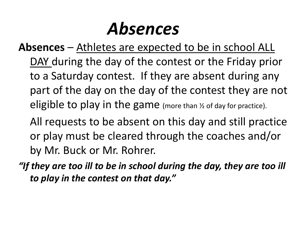## *Absences*

- **Absences**  Athletes are expected to be in school ALL DAY during the day of the contest or the Friday prior to a Saturday contest. If they are absent during any part of the day on the day of the contest they are not eligible to play in the game (more than ½ of day for practice).
	- All requests to be absent on this day and still practice or play must be cleared through the coaches and/or by Mr. Buck or Mr. Rohrer.
- *"If they are too ill to be in school during the day, they are too ill to play in the contest on that day."*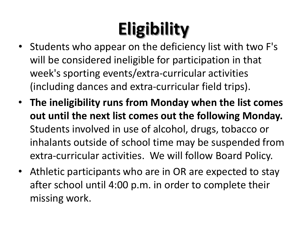# **Eligibility**

- Students who appear on the deficiency list with two F's will be considered ineligible for participation in that week's sporting events/extra-curricular activities (including dances and extra-curricular field trips).
- **The ineligibility runs from Monday when the list comes out until the next list comes out the following Monday.** Students involved in use of alcohol, drugs, tobacco or inhalants outside of school time may be suspended from extra-curricular activities. We will follow Board Policy.
- Athletic participants who are in OR are expected to stay after school until 4:00 p.m. in order to complete their missing work.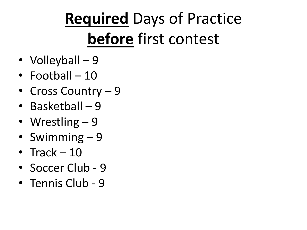# **Required** Days of Practice **before** first contest

- Volleyball 9
- Football 10
- Cross Country 9
- Basketball 9
- Wrestling 9
- Swimming 9
- Track 10
- Soccer Club 9
- Tennis Club 9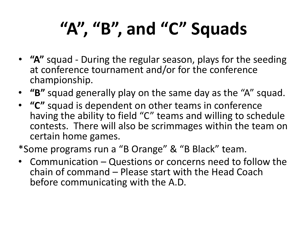# **"A", "B", and "C" Squads**

- **"A"** squad During the regular season, plays for the seeding at conference tournament and/or for the conference championship.
- **"B"** squad generally play on the same day as the "A" squad.
- **"C"** squad is dependent on other teams in conference having the ability to field "C" teams and willing to schedule contests. There will also be scrimmages within the team on certain home games.

\*Some programs run a "B Orange" & "B Black" team.

• Communication – Questions or concerns need to follow the chain of command – Please start with the Head Coach before communicating with the A.D.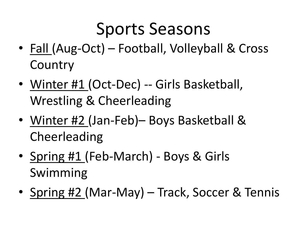# Sports Seasons

- Fall (Aug-Oct) Football, Volleyball & Cross **Country**
- Winter #1 (Oct-Dec) -- Girls Basketball, Wrestling & Cheerleading
- Winter #2 (Jan-Feb)– Boys Basketball & Cheerleading
- Spring #1 (Feb-March) Boys & Girls Swimming
- Spring #2 (Mar-May) Track, Soccer & Tennis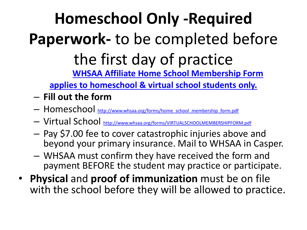## **Homeschool Only -Required Paperwork-** to be completed before the first day of practice **WHSAA Affiliate Home School Membership Form**

**[applies to homeschool & virtual school students only.](http://www.whsaa.org/forms/home_school_membership_form.pdf)**

- **Fill out the form**
- Homeschool [http://www.whsaa.org/forms/home\\_school\\_membership\\_form.pdf](http://www.whsaa.org/forms/home_school_membership_form.pdf)
- Virtual School<http://www.whsaa.org/forms/VIRTUALSCHOOLMEMBERSHIPFORM.pdf>
- Pay \$7.00 fee to cover catastrophic injuries above and beyond your primary insurance. Mail to WHSAA in Casper.
- WHSAA must confirm they have received the form and payment BEFORE the student may practice or participate.
- **Physical** and **proof of immunization** must be on file with the school before they will be allowed to practice.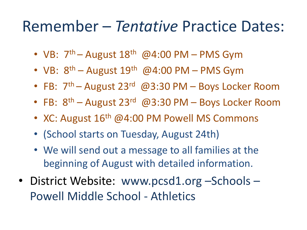## Remember – *Tentative* Practice Dates:

- VB:  $7<sup>th</sup>$  August 18<sup>th</sup> @4:00 PM PMS Gym
- VB:  $8^{th}$  August 19<sup>th</sup> @4:00 PM PMS Gym
- FB: 7<sup>th</sup> August 23<sup>rd</sup> @3:30 PM Boys Locker Room
- FB:  $8^{th}$  August 23<sup>rd</sup> @3:30 PM Boys Locker Room
- XC: August 16<sup>th</sup> @4:00 PM Powell MS Commons
- (School starts on Tuesday, August 24th)
- We will send out a message to all families at the beginning of August with detailed information.
- District Website: www.pcsd1.org -Schools -Powell Middle School - Athletics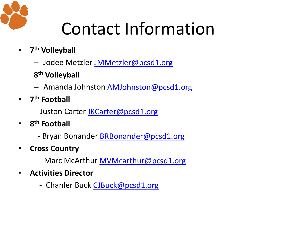

# Contact Information

- **7th Volleyball**
	- Jodee Metzler [JMMetzler@pcsd1.org](mailto:JMMetzler@pcsd1.org)
	- **8th Volleyball**
	- Amanda Johnston [AMJohnston@pcsd1.org](mailto:AMJohnston@pcsd1.org)
- **7th Football**
	- Juston Carter [JKCarter@pcsd1.org](mailto:JKCarter@pcsd1.org)
- **8th Football** 
	- Bryan Bonander **BRBonander@pcsd1.org**
- **Cross Country**
	- Marc McArthur **MVMcarthur@pcsd1.org**
- **Activities Director**
	- Chanler Buck [CJBuck@pcsd1.org](mailto:CJBuck@pcsd1.org)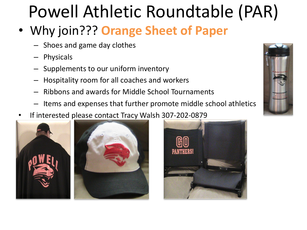# Powell Athletic Roundtable (PAR)

- Why join??? **Orange Sheet of Paper**
	- Shoes and game day clothes
	- Physicals
	- Supplements to our uniform inventory
	- Hospitality room for all coaches and workers
	- Ribbons and awards for Middle School Tournaments
	- Items and expenses that further promote middle school athletics
- If interested please contact Tracy Walsh 307-202-0879